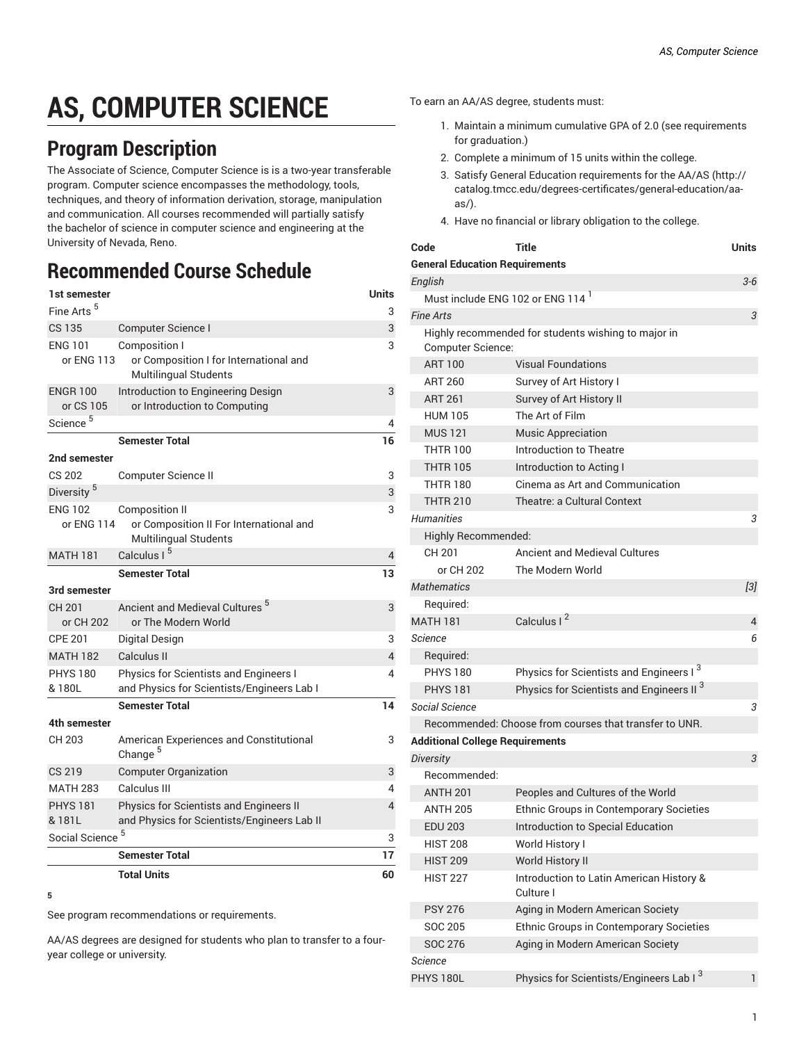# **AS, COMPUTER SCIENCE**

## **Program Description**

The Associate of Science, Computer Science is is a two-year transferable program. Computer science encompasses the methodology, tools, techniques, and theory of information derivation, storage, manipulation and communication. All courses recommended will partially satisfy the bachelor of science in computer science and engineering at the University of Nevada, Reno.

## **Recommended Course Schedule**

| 1st semester                 |                                                                                           | Units          |
|------------------------------|-------------------------------------------------------------------------------------------|----------------|
| Fine Arts <sup>5</sup>       |                                                                                           | 3              |
| CS 135                       | Computer Science I                                                                        | 3              |
| <b>ENG 101</b><br>or ENG 113 | Composition I<br>or Composition I for International and<br>Multilingual Students          | 3              |
| <b>ENGR 100</b><br>or CS 105 | Introduction to Engineering Design<br>or Introduction to Computing                        | 3              |
| Science <sup>5</sup>         |                                                                                           | 4              |
|                              | <b>Semester Total</b>                                                                     | 16             |
| 2nd semester                 |                                                                                           |                |
| <b>CS 202</b>                | Computer Science II                                                                       | 3              |
| Diversity <sup>5</sup>       |                                                                                           | 3              |
| <b>ENG 102</b><br>or ENG 114 | Composition II<br>or Composition II For International and<br><b>Multilingual Students</b> | 3              |
| <b>MATH 181</b>              | Calculus I <sup>5</sup>                                                                   | 4              |
|                              | <b>Semester Total</b>                                                                     | 13             |
| 3rd semester                 |                                                                                           |                |
| CH 201<br>or CH 202          | Ancient and Medieval Cultures <sup>5</sup><br>or The Modern World                         | 3              |
| <b>CPE 201</b>               | Digital Design                                                                            | 3              |
| <b>MATH 182</b>              | Calculus II                                                                               | $\overline{4}$ |
| <b>PHYS 180</b><br>& 180L    | Physics for Scientists and Engineers I<br>and Physics for Scientists/Engineers Lab I      | 4              |
|                              | <b>Semester Total</b>                                                                     | 14             |
| 4th semester                 |                                                                                           |                |
| CH 203                       | American Experiences and Constitutional<br>Change <sup>5</sup>                            | 3              |
| CS 219                       | <b>Computer Organization</b>                                                              | 3              |
| <b>MATH 283</b>              | Calculus III                                                                              | 4              |
| <b>PHYS 181</b><br>& 181L    | Physics for Scientists and Engineers II<br>and Physics for Scientists/Engineers Lab II    | 4              |
| Social Science <sup>5</sup>  |                                                                                           |                |
|                              | <b>Semester Total</b>                                                                     | 17             |
|                              | <b>Total Units</b>                                                                        | 60             |
| 5                            |                                                                                           |                |

See program recommendations or requirements.

AA/AS degrees are designed for students who plan to transfer to a fouryear college or university.

To earn an AA/AS degree, students must:

- 1. Maintain a minimum cumulative GPA of 2.0 (see requirements for graduation.)
- 2. Complete a minimum of 15 units within the college.
- 3. Satisfy General Education [requirements](http://catalog.tmcc.edu/degrees-certificates/general-education/aa-as/) for the AA/AS ([http://](http://catalog.tmcc.edu/degrees-certificates/general-education/aa-as/) [catalog.tmcc.edu/degrees-certificates/general-education/aa](http://catalog.tmcc.edu/degrees-certificates/general-education/aa-as/)[as/](http://catalog.tmcc.edu/degrees-certificates/general-education/aa-as/)).
- 4. Have no financial or library obligation to the college.

| Code                                   | Title                                                  | Units      |
|----------------------------------------|--------------------------------------------------------|------------|
| <b>General Education Requirements</b>  |                                                        |            |
| English                                |                                                        | $3 - 6$    |
|                                        | Must include ENG 102 or ENG 114 <sup>1</sup>           |            |
| <b>Fine Arts</b>                       |                                                        | $\sqrt{3}$ |
| <b>Computer Science:</b>               | Highly recommended for students wishing to major in    |            |
| <b>ART 100</b>                         | <b>Visual Foundations</b>                              |            |
| ART 260                                | Survey of Art History I                                |            |
| <b>ART 261</b>                         | Survey of Art History II                               |            |
| <b>HUM 105</b>                         | The Art of Film                                        |            |
| <b>MUS121</b>                          | <b>Music Appreciation</b>                              |            |
| <b>THTR 100</b>                        | Introduction to Theatre                                |            |
| <b>THTR 105</b>                        | Introduction to Acting I                               |            |
| <b>THTR 180</b>                        | Cinema as Art and Communication                        |            |
| <b>THTR 210</b>                        | Theatre: a Cultural Context                            |            |
| <b>Humanities</b>                      |                                                        | 3          |
| Highly Recommended:                    |                                                        |            |
| CH 201                                 | <b>Ancient and Medieval Cultures</b>                   |            |
| or CH 202                              | The Modern World                                       |            |
| Mathematics                            |                                                        | [3]        |
| Required:                              |                                                        |            |
| <b>MATH 181</b>                        | Calculus I <sup>2</sup>                                | 4          |
| Science                                |                                                        | 6          |
| Required:                              |                                                        |            |
| <b>PHYS 180</b>                        | Physics for Scientists and Engineers I <sup>3</sup>    |            |
| <b>PHYS 181</b>                        | Physics for Scientists and Engineers II <sup>3</sup>   |            |
| Social Science                         |                                                        | 3          |
|                                        | Recommended: Choose from courses that transfer to UNR. |            |
| <b>Additional College Requirements</b> |                                                        |            |
| Diversity                              |                                                        | 3          |
| Recommended:                           |                                                        |            |
| <b>ANTH 201</b>                        | Peoples and Cultures of the World                      |            |
| <b>ANTH 205</b>                        | Ethnic Groups in Contemporary Societies                |            |
| <b>EDU 203</b>                         | Introduction to Special Education                      |            |
| <b>HIST 208</b>                        | World History I                                        |            |
| <b>HIST 209</b>                        | World History II                                       |            |
| <b>HIST 227</b>                        | Introduction to Latin American History &<br>Culture I  |            |
| <b>PSY 276</b>                         | Aging in Modern American Society                       |            |
| <b>SOC 205</b>                         | Ethnic Groups in Contemporary Societies                |            |
| SOC 276                                | Aging in Modern American Society                       |            |
| Science                                |                                                        |            |
| PHYS 180L                              | Physics for Scientists/Engineers Lab I <sup>3</sup>    | 1          |
|                                        |                                                        |            |